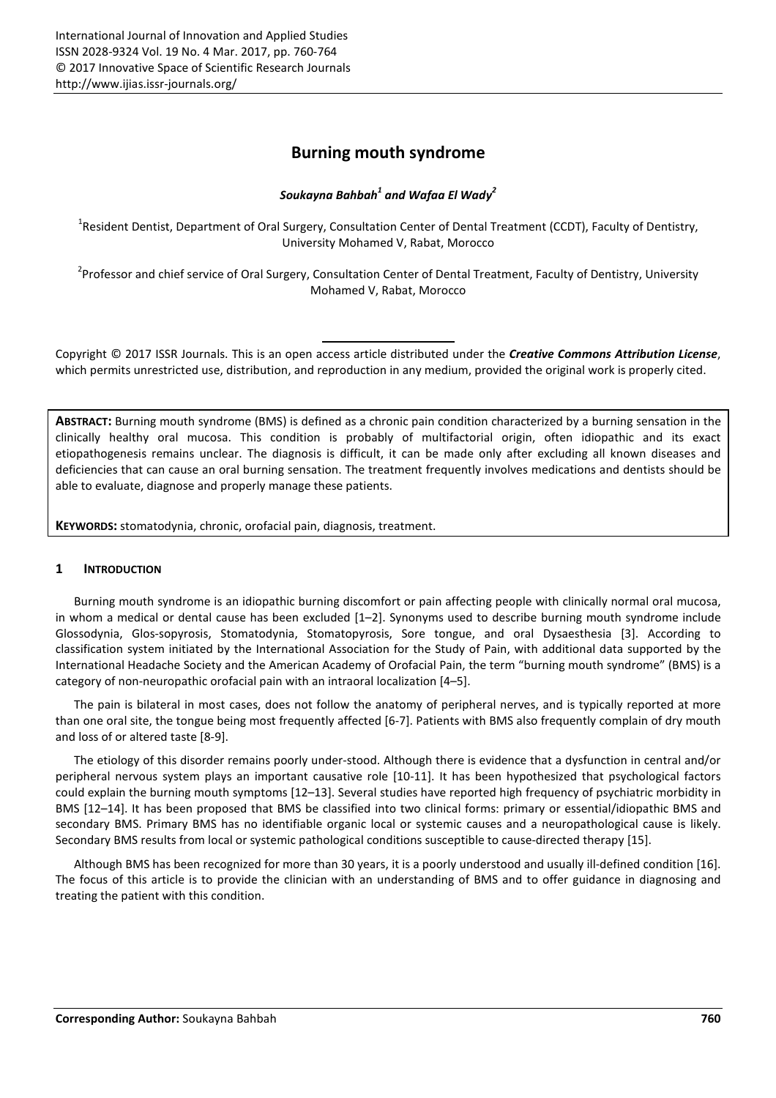# **Burning mouth syndrome**

# *Soukayna Bahbah<sup>1</sup> and Wafaa El Wady<sup>2</sup>*

<sup>1</sup>Resident Dentist, Department of Oral Surgery, Consultation Center of Dental Treatment (CCDT), Faculty of Dentistry, University Mohamed V, Rabat, Morocco

<sup>2</sup>Professor and chief service of Oral Surgery, Consultation Center of Dental Treatment, Faculty of Dentistry, University Mohamed V, Rabat, Morocco

Copyright © 2017 ISSR Journals. This is an open access article distributed under the *Creative Commons Attribution License*, which permits unrestricted use, distribution, and reproduction in any medium, provided the original work is properly cited.

**ABSTRACT:** Burning mouth syndrome (BMS) is defined as a chronic pain condition characterized by a burning sensation in the clinically healthy oral mucosa. This condition is probably of multifactorial origin, often idiopathic and its exact etiopathogenesis remains unclear. The diagnosis is difficult, it can be made only after excluding all known diseases and deficiencies that can cause an oral burning sensation. The treatment frequently involves medications and dentists should be able to evaluate, diagnose and properly manage these patients.

**KEYWORDS:** stomatodynia, chronic, orofacial pain, diagnosis, treatment.

### **1 INTRODUCTION**

Burning mouth syndrome is an idiopathic burning discomfort or pain affecting people with clinically normal oral mucosa, in whom a medical or dental cause has been excluded [1–2]. Synonyms used to describe burning mouth syndrome include Glossodynia, Glos-sopyrosis, Stomatodynia, Stomatopyrosis, Sore tongue, and oral Dysaesthesia [3]. According to classification system initiated by the International Association for the Study of Pain, with additional data supported by the International Headache Society and the American Academy of Orofacial Pain, the term "burning mouth syndrome" (BMS) is a category of non-neuropathic orofacial pain with an intraoral localization [4–5].

The pain is bilateral in most cases, does not follow the anatomy of peripheral nerves, and is typically reported at more than one oral site, the tongue being most frequently affected [6-7]. Patients with BMS also frequently complain of dry mouth and loss of or altered taste [8-9].

The etiology of this disorder remains poorly under-stood. Although there is evidence that a dysfunction in central and/or peripheral nervous system plays an important causative role [10-11]. It has been hypothesized that psychological factors could explain the burning mouth symptoms [12–13]. Several studies have reported high frequency of psychiatric morbidity in BMS [12–14]. It has been proposed that BMS be classified into two clinical forms: primary or essential/idiopathic BMS and secondary BMS. Primary BMS has no identifiable organic local or systemic causes and a neuropathological cause is likely. Secondary BMS results from local or systemic pathological conditions susceptible to cause-directed therapy [15].

Although BMS has been recognized for more than 30 years, it is a poorly understood and usually ill-defined condition [16]. The focus of this article is to provide the clinician with an understanding of BMS and to offer guidance in diagnosing and treating the patient with this condition.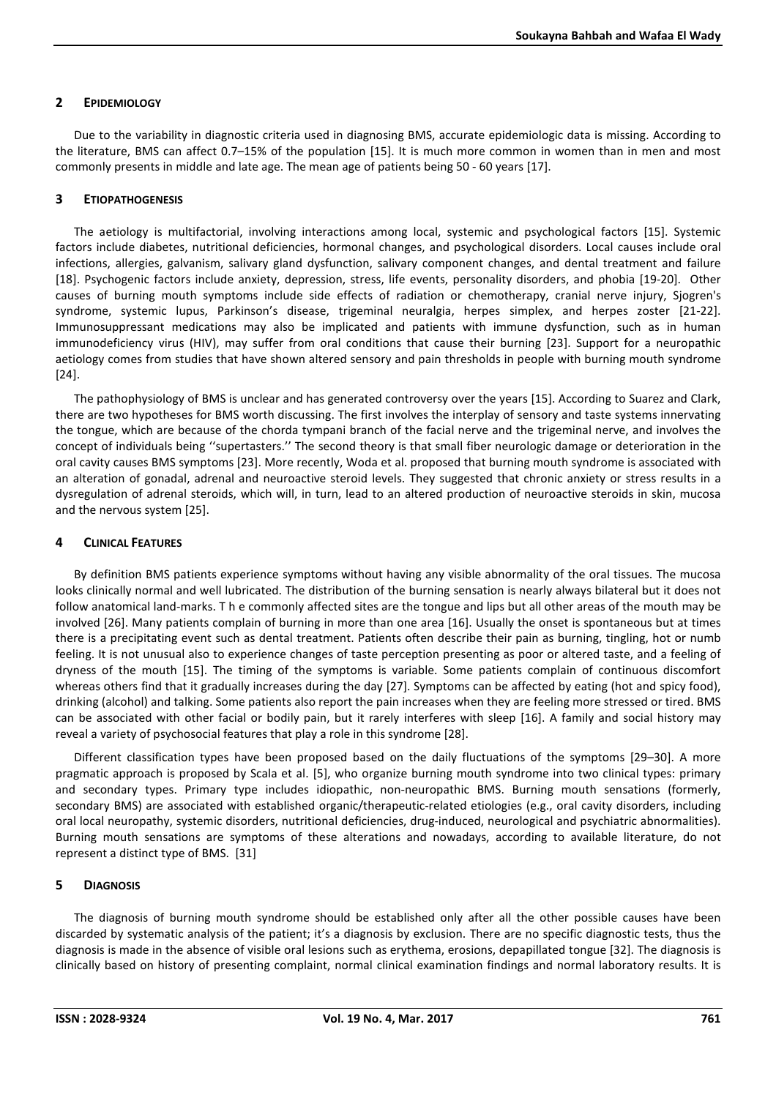## **2 EPIDEMIOLOGY**

Due to the variability in diagnostic criteria used in diagnosing BMS, accurate epidemiologic data is missing. According to the literature, BMS can affect 0.7–15% of the population [15]. It is much more common in women than in men and most commonly presents in middle and late age. The mean age of patients being 50 - 60 years [17].

## **3 ETIOPATHOGENESIS**

The aetiology is multifactorial, involving interactions among local, systemic and psychological factors [15]. Systemic factors include diabetes, nutritional deficiencies, hormonal changes, and psychological disorders. Local causes include oral infections, allergies, galvanism, salivary gland dysfunction, salivary component changes, and dental treatment and failure [18]. Psychogenic factors include anxiety, depression, stress, life events, personality disorders, and phobia [19-20]. Other causes of burning mouth symptoms include side effects of radiation or chemotherapy, cranial nerve injury, Sjogren's syndrome, systemic lupus, Parkinson's disease, trigeminal neuralgia, herpes simplex, and herpes zoster [21-22]. Immunosuppressant medications may also be implicated and patients with immune dysfunction, such as in human immunodeficiency virus (HIV), may suffer from oral conditions that cause their burning [23]. Support for a neuropathic aetiology comes from studies that have shown altered sensory and pain thresholds in people with burning mouth syndrome [24].

The pathophysiology of BMS is unclear and has generated controversy over the years [15]. According to Suarez and Clark, there are two hypotheses for BMS worth discussing. The first involves the interplay of sensory and taste systems innervating the tongue, which are because of the chorda tympani branch of the facial nerve and the trigeminal nerve, and involves the concept of individuals being ''supertasters.'' The second theory is that small fiber neurologic damage or deterioration in the oral cavity causes BMS symptoms [23]. More recently, Woda et al. proposed that burning mouth syndrome is associated with an alteration of gonadal, adrenal and neuroactive steroid levels. They suggested that chronic anxiety or stress results in a dysregulation of adrenal steroids, which will, in turn, lead to an altered production of neuroactive steroids in skin, mucosa and the nervous system [25].

## **4 CLINICAL FEATURES**

By definition BMS patients experience symptoms without having any visible abnormality of the oral tissues. The mucosa looks clinically normal and well lubricated. The distribution of the burning sensation is nearly always bilateral but it does not follow anatomical land-marks. T h e commonly affected sites are the tongue and lips but all other areas of the mouth may be involved [26]. Many patients complain of burning in more than one area [16]. Usually the onset is spontaneous but at times there is a precipitating event such as dental treatment. Patients often describe their pain as burning, tingling, hot or numb feeling. It is not unusual also to experience changes of taste perception presenting as poor or altered taste, and a feeling of dryness of the mouth [15]. The timing of the symptoms is variable. Some patients complain of continuous discomfort whereas others find that it gradually increases during the day [27]. Symptoms can be affected by eating (hot and spicy food), drinking (alcohol) and talking. Some patients also report the pain increases when they are feeling more stressed or tired. BMS can be associated with other facial or bodily pain, but it rarely interferes with sleep [16]. A family and social history may reveal a variety of psychosocial features that play a role in this syndrome [28].

Different classification types have been proposed based on the daily fluctuations of the symptoms [29–30]. A more pragmatic approach is proposed by Scala et al. [5], who organize burning mouth syndrome into two clinical types: primary and secondary types. Primary type includes idiopathic, non-neuropathic BMS. Burning mouth sensations (formerly, secondary BMS) are associated with established organic/therapeutic-related etiologies (e.g., oral cavity disorders, including oral local neuropathy, systemic disorders, nutritional deficiencies, drug-induced, neurological and psychiatric abnormalities). Burning mouth sensations are symptoms of these alterations and nowadays, according to available literature, do not represent a distinct type of BMS. [31]

### **5 DIAGNOSIS**

The diagnosis of burning mouth syndrome should be established only after all the other possible causes have been discarded by systematic analysis of the patient; it's a diagnosis by exclusion. There are no specific diagnostic tests, thus the diagnosis is made in the absence of visible oral lesions such as erythema, erosions, depapillated tongue [32]. The diagnosis is clinically based on history of presenting complaint, normal clinical examination findings and normal laboratory results. It is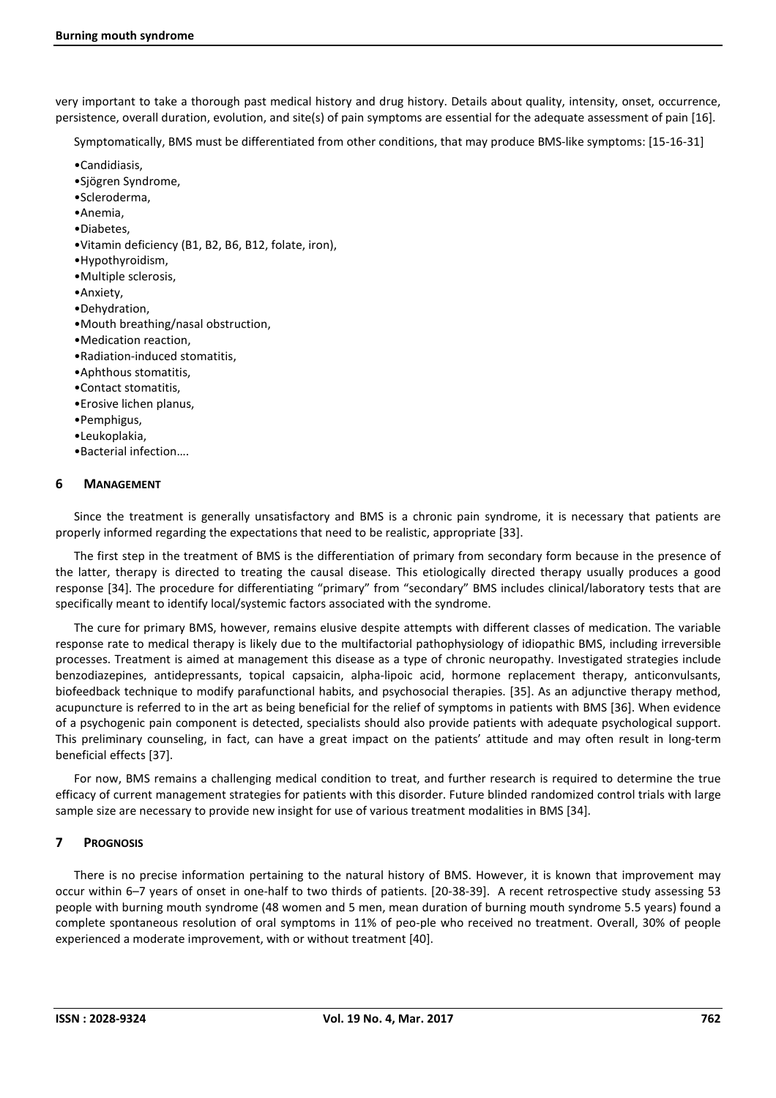very important to take a thorough past medical history and drug history. Details about quality, intensity, onset, occurrence, persistence, overall duration, evolution, and site(s) of pain symptoms are essential for the adequate assessment of pain [16].

Symptomatically, BMS must be differentiated from other conditions, that may produce BMS-like symptoms: [15-16-31]

- •Candidiasis,
- •Sjögren Syndrome,
- •Scleroderma,
- •Anemia,
- •Diabetes,
- •Vitamin deficiency (B1, B2, B6, B12, folate, iron),
- •Hypothyroidism,
- •Multiple sclerosis,
- •Anxiety,
- •Dehydration,
- •Mouth breathing/nasal obstruction,
- •Medication reaction,
- •Radiation-induced stomatitis,
- •Aphthous stomatitis,
- •Contact stomatitis,
- •Erosive lichen planus,
- •Pemphigus,
- •Leukoplakia,
- •Bacterial infection….

#### **6 MANAGEMENT**

Since the treatment is generally unsatisfactory and BMS is a chronic pain syndrome, it is necessary that patients are properly informed regarding the expectations that need to be realistic, appropriate [33].

The first step in the treatment of BMS is the differentiation of primary from secondary form because in the presence of the latter, therapy is directed to treating the causal disease. This etiologically directed therapy usually produces a good response [34]. The procedure for differentiating "primary" from "secondary" BMS includes clinical/laboratory tests that are specifically meant to identify local/systemic factors associated with the syndrome.

The cure for primary BMS, however, remains elusive despite attempts with different classes of medication. The variable response rate to medical therapy is likely due to the multifactorial pathophysiology of idiopathic BMS, including irreversible processes. Treatment is aimed at management this disease as a type of chronic neuropathy. Investigated strategies include benzodiazepines, antidepressants, topical capsaicin, alpha-lipoic acid, hormone replacement therapy, anticonvulsants, biofeedback technique to modify parafunctional habits, and psychosocial therapies. [35]. As an adjunctive therapy method, acupuncture is referred to in the art as being beneficial for the relief of symptoms in patients with BMS [36]. When evidence of a psychogenic pain component is detected, specialists should also provide patients with adequate psychological support. This preliminary counseling, in fact, can have a great impact on the patients' attitude and may often result in long-term beneficial effects [37].

For now, BMS remains a challenging medical condition to treat, and further research is required to determine the true efficacy of current management strategies for patients with this disorder. Future blinded randomized control trials with large sample size are necessary to provide new insight for use of various treatment modalities in BMS [34].

#### **7 PROGNOSIS**

There is no precise information pertaining to the natural history of BMS. However, it is known that improvement may occur within 6–7 years of onset in one-half to two thirds of patients. [20-38-39]. A recent retrospective study assessing 53 people with burning mouth syndrome (48 women and 5 men, mean duration of burning mouth syndrome 5.5 years) found a complete spontaneous resolution of oral symptoms in 11% of peo-ple who received no treatment. Overall, 30% of people experienced a moderate improvement, with or without treatment [40].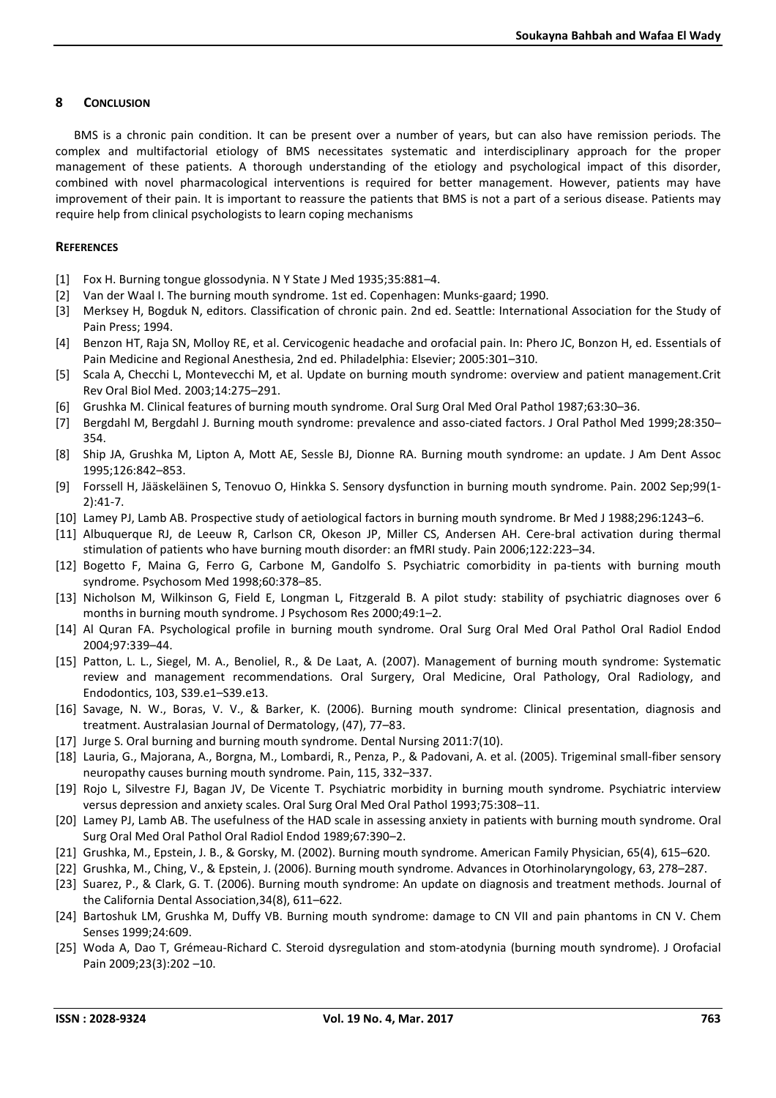#### **8 CONCLUSION**

BMS is a chronic pain condition. It can be present over a number of years, but can also have remission periods. The complex and multifactorial etiology of BMS necessitates systematic and interdisciplinary approach for the proper management of these patients. A thorough understanding of the etiology and psychological impact of this disorder, combined with novel pharmacological interventions is required for better management. However, patients may have improvement of their pain. It is important to reassure the patients that BMS is not a part of a serious disease. Patients may require help from clinical psychologists to learn coping mechanisms

#### **REFERENCES**

- [1] Fox H. Burning tongue glossodynia. N Y State J Med 1935;35:881–4.
- [2] Van der Waal I. The burning mouth syndrome. 1st ed. Copenhagen: Munks-gaard; 1990.
- [3] Merksey H, Bogduk N, editors. Classification of chronic pain. 2nd ed. Seattle: International Association for the Study of Pain Press; 1994.
- [4] Benzon HT, Raja SN, Molloy RE, et al. Cervicogenic headache and orofacial pain. In: Phero JC, Bonzon H, ed. Essentials of Pain Medicine and Regional Anesthesia, 2nd ed. Philadelphia: Elsevier; 2005:301–310.
- [5] Scala A, Checchi L, Montevecchi M, et al. Update on burning mouth syndrome: overview and patient management.Crit Rev Oral Biol Med. 2003;14:275–291.
- [6] Grushka M. Clinical features of burning mouth syndrome. Oral Surg Oral Med Oral Pathol 1987;63:30–36.
- [7] Bergdahl M, Bergdahl J. Burning mouth syndrome: prevalence and asso-ciated factors. J Oral Pathol Med 1999;28:350– 354.
- [8] Ship JA, Grushka M, Lipton A, Mott AE, Sessle BJ, Dionne RA. Burning mouth syndrome: an update. J Am Dent Assoc 1995;126:842–853.
- [9] Forssell H, Jääskeläinen S, Tenovuo O, Hinkka S. Sensory dysfunction in burning mouth syndrome. Pain. 2002 Sep;99(1- 2):41-7.
- [10] Lamey PJ, Lamb AB. Prospective study of aetiological factors in burning mouth syndrome. Br Med J 1988;296:1243–6.
- [11] Albuquerque RJ, de Leeuw R, Carlson CR, Okeson JP, Miller CS, Andersen AH. Cere-bral activation during thermal stimulation of patients who have burning mouth disorder: an fMRI study. Pain 2006;122:223–34.
- [12] Bogetto F, Maina G, Ferro G, Carbone M, Gandolfo S. Psychiatric comorbidity in pa-tients with burning mouth syndrome. Psychosom Med 1998;60:378–85.
- [13] Nicholson M, Wilkinson G, Field E, Longman L, Fitzgerald B. A pilot study: stability of psychiatric diagnoses over 6 months in burning mouth syndrome. J Psychosom Res 2000;49:1–2.
- [14] Al Quran FA. Psychological profile in burning mouth syndrome. Oral Surg Oral Med Oral Pathol Oral Radiol Endod 2004;97:339–44.
- [15] Patton, L. L., Siegel, M. A., Benoliel, R., & De Laat, A. (2007). Management of burning mouth syndrome: Systematic review and management recommendations. Oral Surgery, Oral Medicine, Oral Pathology, Oral Radiology, and Endodontics, 103, S39.e1–S39.e13.
- [16] Savage, N. W., Boras, V. V., & Barker, K. (2006). Burning mouth syndrome: Clinical presentation, diagnosis and treatment. Australasian Journal of Dermatology, (47), 77–83.
- [17] Jurge S. Oral burning and burning mouth syndrome. Dental Nursing 2011:7(10).
- [18] Lauria, G., Majorana, A., Borgna, M., Lombardi, R., Penza, P., & Padovani, A. et al. (2005). Trigeminal small-fiber sensory neuropathy causes burning mouth syndrome. Pain, 115, 332–337.
- [19] Rojo L, Silvestre FJ, Bagan JV, De Vicente T. Psychiatric morbidity in burning mouth syndrome. Psychiatric interview versus depression and anxiety scales. Oral Surg Oral Med Oral Pathol 1993;75:308–11.
- [20] Lamey PJ, Lamb AB. The usefulness of the HAD scale in assessing anxiety in patients with burning mouth syndrome. Oral Surg Oral Med Oral Pathol Oral Radiol Endod 1989;67:390–2.
- [21] Grushka, M., Epstein, J. B., & Gorsky, M. (2002). Burning mouth syndrome. American Family Physician, 65(4), 615–620.
- [22] Grushka, M., Ching, V., & Epstein, J. (2006). Burning mouth syndrome. Advances in Otorhinolaryngology, 63, 278–287.
- [23] Suarez, P., & Clark, G. T. (2006). Burning mouth syndrome: An update on diagnosis and treatment methods. Journal of the California Dental Association,34(8), 611–622.
- [24] Bartoshuk LM, Grushka M, Duffy VB. Burning mouth syndrome: damage to CN VII and pain phantoms in CN V. Chem Senses 1999;24:609.
- [25] Woda A, Dao T, Grémeau-Richard C. Steroid dysregulation and stom-atodynia (burning mouth syndrome). J Orofacial Pain 2009;23(3):202 –10.